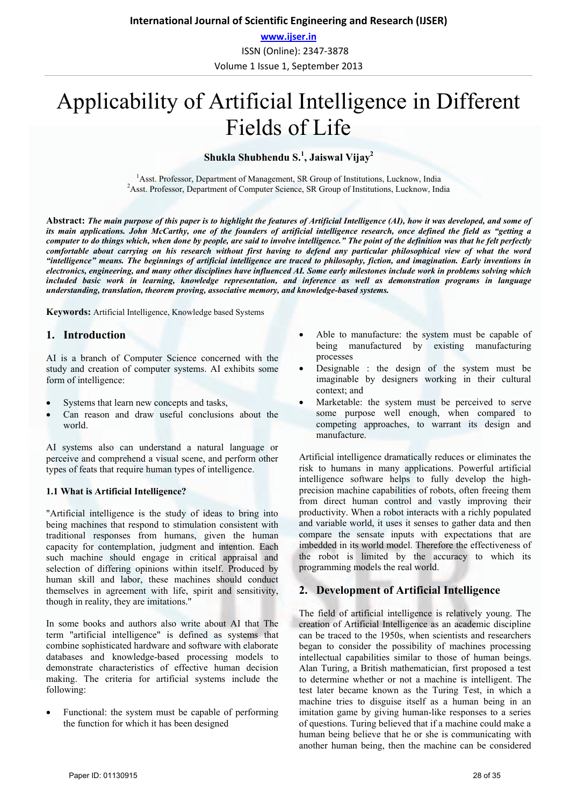**www.ijser.in** ISSN (Online): 2347-3878 Volume 1 Issue 1, September 2013

# Applicability of Artificial Intelligence in Different Fields of Life

# **Shukla Shubhendu S.<sup>1</sup> , Jaiswal Vijay2**

<sup>1</sup> Asst. Professor, Department of Management, SR Group of Institutions, Lucknow, India <sup>2</sup> Asst. Professor, Department of Computer Science, SP Group of Institutions, Lucknow, India <sup>2</sup> Asst. Professor, Department of Computer Science, SR Group of Institutions, Lucknow, India

**Abstract:** *The main purpose of this paper is to highlight the features of Artificial Intelligence (AI), how it was developed, and some of its main applications. John McCarthy, one of the founders of artificial intelligence research, once defined the field as "getting a computer to do things which, when done by people, are said to involve intelligence." The point of the definition was that he felt perfectly comfortable about carrying on his research without first having to defend any particular philosophical view of what the word "intelligence" means. The beginnings of artificial intelligence are traced to philosophy, fiction, and imagination. Early inventions in electronics, engineering, and many other disciplines have influenced AI. Some early milestones include work in problems solving which included basic work in learning, knowledge representation, and inference as well as demonstration programs in language understanding, translation, theorem proving, associative memory, and knowledge-based systems.* 

**Keywords:** Artificial Intelligence, Knowledge based Systems

# **1. Introduction**

AI is a branch of Computer Science concerned with the study and creation of computer systems. AI exhibits some form of intelligence:

- Systems that learn new concepts and tasks,
- Can reason and draw useful conclusions about the world.

AI systems also can understand a natural language or perceive and comprehend a visual scene, and perform other types of feats that require human types of intelligence.

#### **1.1 What is Artificial Intelligence?**

"Artificial intelligence is the study of ideas to bring into being machines that respond to stimulation consistent with traditional responses from humans, given the human capacity for contemplation, judgment and intention. Each such machine should engage in critical appraisal and selection of differing opinions within itself. Produced by human skill and labor, these machines should conduct themselves in agreement with life, spirit and sensitivity, though in reality, they are imitations."

In some books and authors also write about AI that The term "artificial intelligence" is defined as systems that combine sophisticated hardware and software with elaborate databases and knowledge-based processing models to demonstrate characteristics of effective human decision making. The criteria for artificial systems include the following:

 Functional: the system must be capable of performing the function for which it has been designed

- Able to manufacture: the system must be capable of being manufactured by existing manufacturing processes
- Designable : the design of the system must be imaginable by designers working in their cultural context; and
- Marketable: the system must be perceived to serve some purpose well enough, when compared to competing approaches, to warrant its design and manufacture.

Artificial intelligence dramatically reduces or eliminates the risk to humans in many applications. Powerful artificial intelligence software helps to fully develop the highprecision machine capabilities of robots, often freeing them from direct human control and vastly improving their productivity. When a robot interacts with a richly populated and variable world, it uses it senses to gather data and then compare the sensate inputs with expectations that are imbedded in its world model. Therefore the effectiveness of the robot is limited by the accuracy to which its programming models the real world.

## **2. Development of Artificial Intelligence**

The field of artificial intelligence is relatively young. The creation of Artificial Intelligence as an academic discipline can be traced to the 1950s, when scientists and researchers began to consider the possibility of machines processing intellectual capabilities similar to those of human beings. Alan Turing, a British mathematician, first proposed a test to determine whether or not a machine is intelligent. The test later became known as the Turing Test, in which a machine tries to disguise itself as a human being in an imitation game by giving human-like responses to a series of questions. Turing believed that if a machine could make a human being believe that he or she is communicating with another human being, then the machine can be considered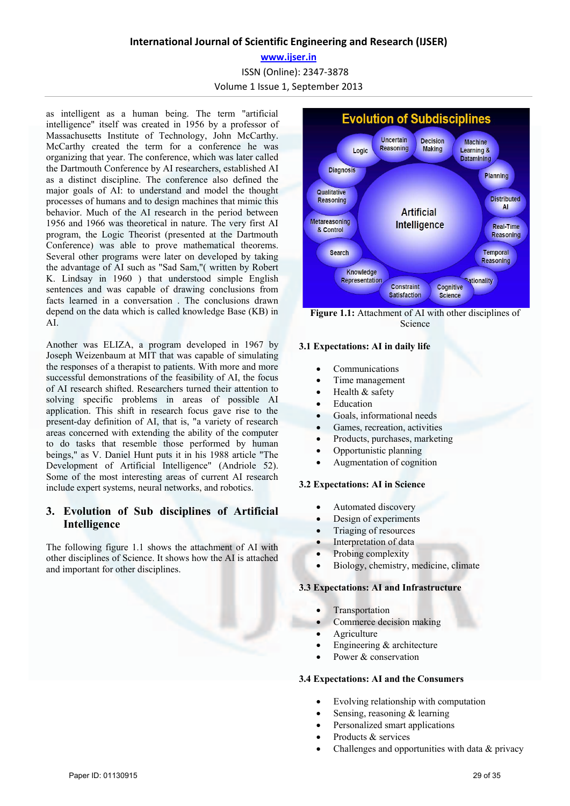# **www.ijser.in** ISSN (Online): 2347-3878

Volume 1 Issue 1, September 2013

as intelligent as a human being. The term "artificial intelligence" itself was created in 1956 by a professor of Massachusetts Institute of Technology, John McCarthy. McCarthy created the term for a conference he was organizing that year. The conference, which was later called the Dartmouth Conference by AI researchers, established AI as a distinct discipline. The conference also defined the major goals of AI: to understand and model the thought processes of humans and to design machines that mimic this behavior. Much of the AI research in the period between 1956 and 1966 was theoretical in nature. The very first AI program, the Logic Theorist (presented at the Dartmouth Conference) was able to prove mathematical theorems. Several other programs were later on developed by taking the advantage of AI such as "Sad Sam,"( written by Robert K. Lindsay in 1960 ) that understood simple English sentences and was capable of drawing conclusions from facts learned in a conversation . The conclusions drawn depend on the data which is called knowledge Base (KB) in AI.

Another was ELIZA, a program developed in 1967 by Joseph Weizenbaum at MIT that was capable of simulating the responses of a therapist to patients. With more and more successful demonstrations of the feasibility of AI, the focus of AI research shifted. Researchers turned their attention to solving specific problems in areas of possible AI application. This shift in research focus gave rise to the present-day definition of AI, that is, "a variety of research areas concerned with extending the ability of the computer to do tasks that resemble those performed by human beings," as V. Daniel Hunt puts it in his 1988 article "The Development of Artificial Intelligence" (Andriole 52). Some of the most interesting areas of current AI research include expert systems, neural networks, and robotics.

# **3. Evolution of Sub disciplines of Artificial Intelligence**

The following figure 1.1 shows the attachment of AI with other disciplines of Science. It shows how the AI is attached and important for other disciplines.



**Figure 1.1:** Attachment of AI with other disciplines of Science

#### **3.1 Expectations: AI in daily life**

- Communications
- Time management
- Health & safety
- Education
- Goals, informational needs
- Games, recreation, activities
- Products, purchases, marketing
- Opportunistic planning
- Augmentation of cognition

#### **3.2 Expectations: AI in Science**

- Automated discovery
- Design of experiments
- Triaging of resources
- Interpretation of data
- Probing complexity
- Biology, chemistry, medicine, climate

#### **3.3 Expectations: AI and Infrastructure**

- Transportation
- Commerce decision making
- Agriculture
- Engineering & architecture
- Power & conservation

#### **3.4 Expectations: AI and the Consumers**

- Evolving relationship with computation
- Sensing, reasoning & learning
- Personalized smart applications
- Products & services
- Challenges and opportunities with data & privacy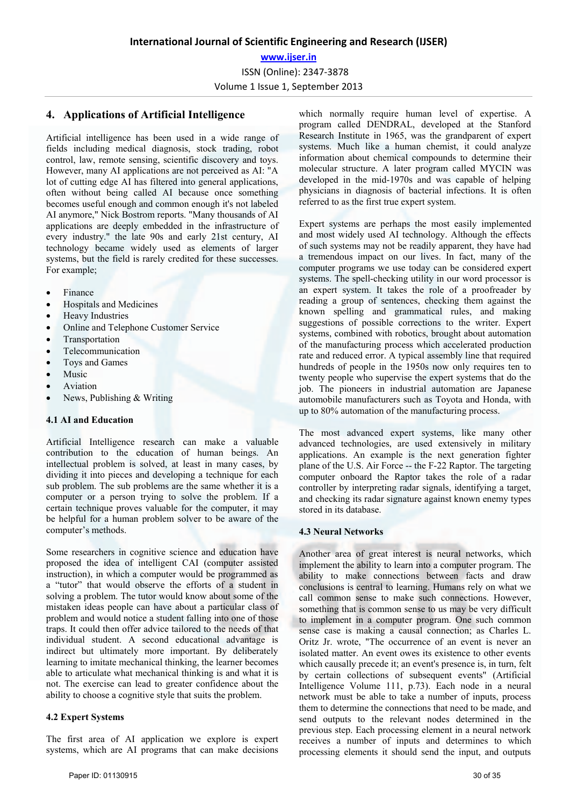# **4. Applications of Artificial Intelligence**

Artificial intelligence has been used in a wide range of fields including medical diagnosis, stock trading, robot control, law, remote sensing, scientific discovery and toys. However, many AI applications are not perceived as AI: "A lot of cutting edge AI has filtered into general applications, often without being called AI because once something becomes useful enough and common enough it's not labeled AI anymore," Nick Bostrom reports. "Many thousands of AI applications are deeply embedded in the infrastructure of every industry." the late 90s and early 21st century, AI technology became widely used as elements of larger systems, but the field is rarely credited for these successes. For example;

- Finance
- Hospitals and Medicines
- Heavy Industries
- Online and Telephone Customer Service
- Transportation
- Telecommunication
- Toys and Games
- Music
- Aviation
- News, Publishing & Writing

#### **4.1 AI and Education**

Artificial Intelligence research can make a valuable contribution to the education of human beings. An intellectual problem is solved, at least in many cases, by dividing it into pieces and developing a technique for each sub problem. The sub problems are the same whether it is a computer or a person trying to solve the problem. If a certain technique proves valuable for the computer, it may be helpful for a human problem solver to be aware of the computer's methods.

Some researchers in cognitive science and education have proposed the idea of intelligent CAI (computer assisted instruction), in which a computer would be programmed as a "tutor" that would observe the efforts of a student in solving a problem. The tutor would know about some of the mistaken ideas people can have about a particular class of problem and would notice a student falling into one of those traps. It could then offer advice tailored to the needs of that individual student. A second educational advantage is indirect but ultimately more important. By deliberately learning to imitate mechanical thinking, the learner becomes able to articulate what mechanical thinking is and what it is not. The exercise can lead to greater confidence about the ability to choose a cognitive style that suits the problem.

## **4.2 Expert Systems**

The first area of AI application we explore is expert systems, which are AI programs that can make decisions

Paper ID: 01130915 30 of 35

which normally require human level of expertise. A program called DENDRAL, developed at the Stanford Research Institute in 1965, was the grandparent of expert systems. Much like a human chemist, it could analyze information about chemical compounds to determine their molecular structure. A later program called MYCIN was developed in the mid-1970s and was capable of helping physicians in diagnosis of bacterial infections. It is often referred to as the first true expert system.

Expert systems are perhaps the most easily implemented and most widely used AI technology. Although the effects of such systems may not be readily apparent, they have had a tremendous impact on our lives. In fact, many of the computer programs we use today can be considered expert systems. The spell-checking utility in our word processor is an expert system. It takes the role of a proofreader by reading a group of sentences, checking them against the known spelling and grammatical rules, and making suggestions of possible corrections to the writer. Expert systems, combined with robotics, brought about automation of the manufacturing process which accelerated production rate and reduced error. A typical assembly line that required hundreds of people in the 1950s now only requires ten to twenty people who supervise the expert systems that do the job. The pioneers in industrial automation are Japanese automobile manufacturers such as Toyota and Honda, with up to 80% automation of the manufacturing process.

The most advanced expert systems, like many other advanced technologies, are used extensively in military applications. An example is the next generation fighter plane of the U.S. Air Force -- the F-22 Raptor. The targeting computer onboard the Raptor takes the role of a radar controller by interpreting radar signals, identifying a target, and checking its radar signature against known enemy types stored in its database.

#### **4.3 Neural Networks**

Another area of great interest is neural networks, which implement the ability to learn into a computer program. The ability to make connections between facts and draw conclusions is central to learning. Humans rely on what we call common sense to make such connections. However, something that is common sense to us may be very difficult to implement in a computer program. One such common sense case is making a causal connection; as Charles L. Oritz Jr. wrote, "The occurrence of an event is never an isolated matter. An event owes its existence to other events which causally precede it; an event's presence is, in turn, felt by certain collections of subsequent events" (Artificial Intelligence Volume 111, p.73). Each node in a neural network must be able to take a number of inputs, process them to determine the connections that need to be made, and send outputs to the relevant nodes determined in the previous step. Each processing element in a neural network receives a number of inputs and determines to which processing elements it should send the input, and outputs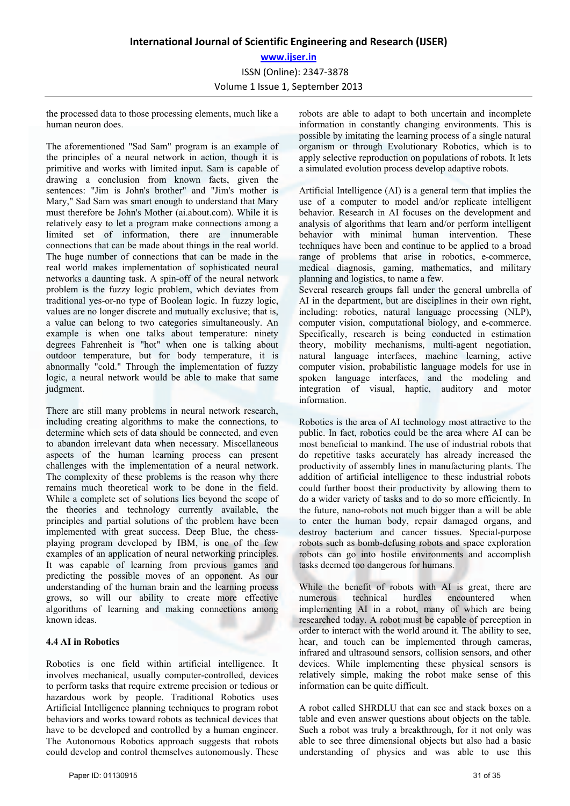the processed data to those processing elements, much like a human neuron does.

The aforementioned "Sad Sam" program is an example of the principles of a neural network in action, though it is primitive and works with limited input. Sam is capable of drawing a conclusion from known facts, given the sentences: "Jim is John's brother" and "Jim's mother is Mary," Sad Sam was smart enough to understand that Mary must therefore be John's Mother (ai.about.com). While it is relatively easy to let a program make connections among a limited set of information, there are innumerable connections that can be made about things in the real world. The huge number of connections that can be made in the real world makes implementation of sophisticated neural networks a daunting task. A spin-off of the neural network problem is the fuzzy logic problem, which deviates from traditional yes-or-no type of Boolean logic. In fuzzy logic, values are no longer discrete and mutually exclusive; that is, a value can belong to two categories simultaneously. An example is when one talks about temperature: ninety degrees Fahrenheit is "hot" when one is talking about outdoor temperature, but for body temperature, it is abnormally "cold." Through the implementation of fuzzy logic, a neural network would be able to make that same judgment.

There are still many problems in neural network research, including creating algorithms to make the connections, to determine which sets of data should be connected, and even to abandon irrelevant data when necessary. Miscellaneous aspects of the human learning process can present challenges with the implementation of a neural network. The complexity of these problems is the reason why there remains much theoretical work to be done in the field. While a complete set of solutions lies beyond the scope of the theories and technology currently available, the principles and partial solutions of the problem have been implemented with great success. Deep Blue, the chessplaying program developed by IBM, is one of the few examples of an application of neural networking principles. It was capable of learning from previous games and predicting the possible moves of an opponent. As our understanding of the human brain and the learning process grows, so will our ability to create more effective algorithms of learning and making connections among known ideas.

#### **4.4 AI in Robotics**

Robotics is one field within artificial intelligence. It involves mechanical, usually computer-controlled, devices to perform tasks that require extreme precision or tedious or hazardous work by people. Traditional Robotics uses Artificial Intelligence planning techniques to program robot behaviors and works toward robots as technical devices that have to be developed and controlled by a human engineer. The Autonomous Robotics approach suggests that robots could develop and control themselves autonomously. These robots are able to adapt to both uncertain and incomplete information in constantly changing environments. This is possible by imitating the learning process of a single natural organism or through Evolutionary Robotics, which is to apply selective reproduction on populations of robots. It lets a simulated evolution process develop adaptive robots.

Artificial Intelligence (AI) is a general term that implies the use of a computer to model and/or replicate intelligent behavior. Research in AI focuses on the development and analysis of algorithms that learn and/or perform intelligent behavior with minimal human intervention. These techniques have been and continue to be applied to a broad range of problems that arise in robotics, e-commerce, medical diagnosis, gaming, mathematics, and military planning and logistics, to name a few.

Several research groups fall under the general umbrella of AI in the department, but are disciplines in their own right, including: robotics, natural language processing (NLP), computer vision, computational biology, and e-commerce. Specifically, research is being conducted in estimation theory, mobility mechanisms, multi-agent negotiation, natural language interfaces, machine learning, active computer vision, probabilistic language models for use in spoken language interfaces, and the modeling and integration of visual, haptic, auditory and motor information.

Robotics is the area of AI technology most attractive to the public. In fact, robotics could be the area where AI can be most beneficial to mankind. The use of industrial robots that do repetitive tasks accurately has already increased the productivity of assembly lines in manufacturing plants. The addition of artificial intelligence to these industrial robots could further boost their productivity by allowing them to do a wider variety of tasks and to do so more efficiently. In the future, nano-robots not much bigger than a will be able to enter the human body, repair damaged organs, and destroy bacterium and cancer tissues. Special-purpose robots such as bomb-defusing robots and space exploration robots can go into hostile environments and accomplish tasks deemed too dangerous for humans.

While the benefit of robots with AI is great, there are numerous technical hurdles encountered when implementing AI in a robot, many of which are being researched today. A robot must be capable of perception in order to interact with the world around it. The ability to see, hear, and touch can be implemented through cameras, infrared and ultrasound sensors, collision sensors, and other devices. While implementing these physical sensors is relatively simple, making the robot make sense of this information can be quite difficult.

A robot called SHRDLU that can see and stack boxes on a table and even answer questions about objects on the table. Such a robot was truly a breakthrough, for it not only was able to see three dimensional objects but also had a basic understanding of physics and was able to use this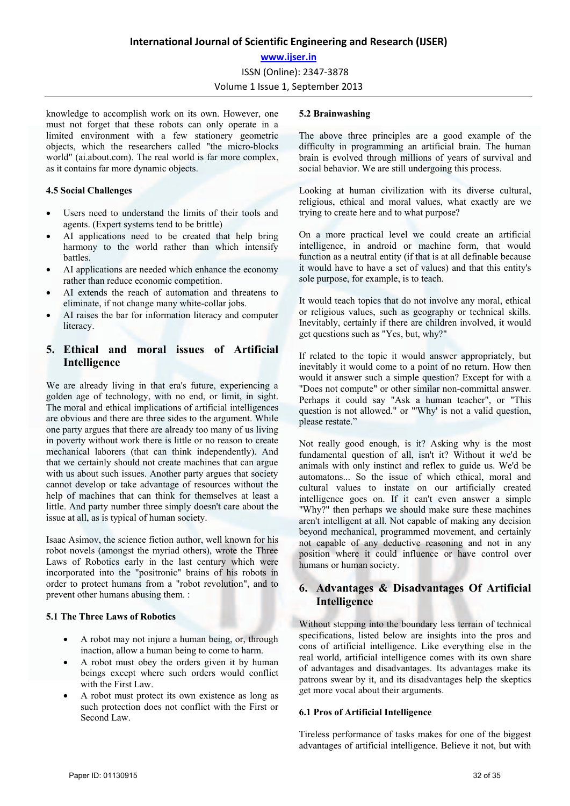#### **www.ijser.in**

ISSN (Online): 2347-3878

Volume 1 Issue 1, September 2013

knowledge to accomplish work on its own. However, one must not forget that these robots can only operate in a limited environment with a few stationery geometric objects, which the researchers called "the micro-blocks world" (ai.about.com). The real world is far more complex, as it contains far more dynamic objects.

#### **4.5 Social Challenges**

- Users need to understand the limits of their tools and agents. (Expert systems tend to be brittle)
- AI applications need to be created that help bring harmony to the world rather than which intensify battles.
- AI applications are needed which enhance the economy rather than reduce economic competition.
- AI extends the reach of automation and threatens to eliminate, if not change many white-collar jobs.
- AI raises the bar for information literacy and computer literacy.

# **5. Ethical and moral issues of Artificial Intelligence**

We are already living in that era's future, experiencing a golden age of technology, with no end, or limit, in sight. The moral and ethical implications of artificial intelligences are obvious and there are three sides to the argument. While one party argues that there are already too many of us living in poverty without work there is little or no reason to create mechanical laborers (that can think independently). And that we certainly should not create machines that can argue with us about such issues. Another party argues that society cannot develop or take advantage of resources without the help of machines that can think for themselves at least a little. And party number three simply doesn't care about the issue at all, as is typical of human society.

Isaac Asimov, the science fiction author, well known for his robot novels (amongst the myriad others), wrote the Three Laws of Robotics early in the last century which were incorporated into the "positronic" brains of his robots in order to protect humans from a "robot revolution", and to prevent other humans abusing them. :

#### **5.1 The Three Laws of Robotics**

- A robot may not injure a human being, or, through inaction, allow a human being to come to harm.
- A robot must obey the orders given it by human beings except where such orders would conflict with the First Law.
- A robot must protect its own existence as long as such protection does not conflict with the First or Second Law.

#### **5.2 Brainwashing**

The above three principles are a good example of the difficulty in programming an artificial brain. The human brain is evolved through millions of years of survival and social behavior. We are still undergoing this process.

Looking at human civilization with its diverse cultural, religious, ethical and moral values, what exactly are we trying to create here and to what purpose?

On a more practical level we could create an artificial intelligence, in android or machine form, that would function as a neutral entity (if that is at all definable because it would have to have a set of values) and that this entity's sole purpose, for example, is to teach.

It would teach topics that do not involve any moral, ethical or religious values, such as geography or technical skills. Inevitably, certainly if there are children involved, it would get questions such as "Yes, but, why?"

If related to the topic it would answer appropriately, but inevitably it would come to a point of no return. How then would it answer such a simple question? Except for with a "Does not compute" or other similar non-committal answer. Perhaps it could say "Ask a human teacher", or "This question is not allowed." or "'Why' is not a valid question, please restate."

Not really good enough, is it? Asking why is the most fundamental question of all, isn't it? Without it we'd be animals with only instinct and reflex to guide us. We'd be automatons... So the issue of which ethical, moral and cultural values to instate on our artificially created intelligence goes on. If it can't even answer a simple "Why?" then perhaps we should make sure these machines aren't intelligent at all. Not capable of making any decision beyond mechanical, programmed movement, and certainly not capable of any deductive reasoning and not in any position where it could influence or have control over humans or human society.

# **6. Advantages & Disadvantages Of Artificial Intelligence**

Without stepping into the boundary less terrain of technical specifications, listed below are insights into the pros and cons of artificial intelligence. Like everything else in the real world, artificial intelligence comes with its own share of advantages and disadvantages. Its advantages make its patrons swear by it, and its disadvantages help the skeptics get more vocal about their arguments.

## **6.1 Pros of Artificial Intelligence**

Tireless performance of tasks makes for one of the biggest advantages of artificial intelligence. Believe it not, but with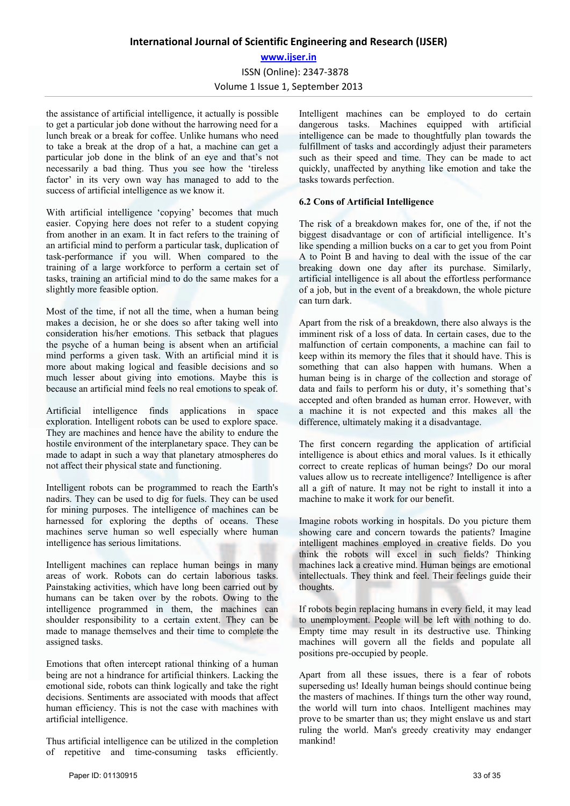**www.ijser.in** ISSN (Online): 2347-3878 Volume 1 Issue 1, September 2013

the assistance of artificial intelligence, it actually is possible to get a particular job done without the harrowing need for a lunch break or a break for coffee. Unlike humans who need to take a break at the drop of a hat, a machine can get a particular job done in the blink of an eye and that's not necessarily a bad thing. Thus you see how the 'tireless factor' in its very own way has managed to add to the success of artificial intelligence as we know it.

With artificial intelligence 'copying' becomes that much easier. Copying here does not refer to a student copying from another in an exam. It in fact refers to the training of an artificial mind to perform a particular task, duplication of task-performance if you will. When compared to the training of a large workforce to perform a certain set of tasks, training an artificial mind to do the same makes for a slightly more feasible option.

Most of the time, if not all the time, when a human being makes a decision, he or she does so after taking well into consideration his/her emotions. This setback that plagues the psyche of a human being is absent when an artificial mind performs a given task. With an artificial mind it is more about making logical and feasible decisions and so much lesser about giving into emotions. Maybe this is because an artificial mind feels no real emotions to speak of.

Artificial intelligence finds applications in space exploration. Intelligent robots can be used to explore space. They are machines and hence have the ability to endure the hostile environment of the interplanetary space. They can be made to adapt in such a way that planetary atmospheres do not affect their physical state and functioning.

Intelligent robots can be programmed to reach the Earth's nadirs. They can be used to dig for fuels. They can be used for mining purposes. The intelligence of machines can be harnessed for exploring the depths of oceans. These machines serve human so well especially where human intelligence has serious limitations.

Intelligent machines can replace human beings in many areas of work. Robots can do certain laborious tasks. Painstaking activities, which have long been carried out by humans can be taken over by the robots. Owing to the intelligence programmed in them, the machines can shoulder responsibility to a certain extent. They can be made to manage themselves and their time to complete the assigned tasks.

Emotions that often intercept rational thinking of a human being are not a hindrance for artificial thinkers. Lacking the emotional side, robots can think logically and take the right decisions. Sentiments are associated with moods that affect human efficiency. This is not the case with machines with artificial intelligence.

Thus artificial intelligence can be utilized in the completion of repetitive and time-consuming tasks efficiently.

Intelligent machines can be employed to do certain dangerous tasks. Machines equipped with artificial intelligence can be made to thoughtfully plan towards the fulfillment of tasks and accordingly adjust their parameters such as their speed and time. They can be made to act quickly, unaffected by anything like emotion and take the tasks towards perfection.

#### **6.2 Cons of Artificial Intelligence**

The risk of a breakdown makes for, one of the, if not the biggest disadvantage or con of artificial intelligence. It's like spending a million bucks on a car to get you from Point A to Point B and having to deal with the issue of the car breaking down one day after its purchase. Similarly, artificial intelligence is all about the effortless performance of a job, but in the event of a breakdown, the whole picture can turn dark.

Apart from the risk of a breakdown, there also always is the imminent risk of a loss of data. In certain cases, due to the malfunction of certain components, a machine can fail to keep within its memory the files that it should have. This is something that can also happen with humans. When a human being is in charge of the collection and storage of data and fails to perform his or duty, it's something that's accepted and often branded as human error. However, with a machine it is not expected and this makes all the difference, ultimately making it a disadvantage.

The first concern regarding the application of artificial intelligence is about ethics and moral values. Is it ethically correct to create replicas of human beings? Do our moral values allow us to recreate intelligence? Intelligence is after all a gift of nature. It may not be right to install it into a machine to make it work for our benefit.

Imagine robots working in hospitals. Do you picture them showing care and concern towards the patients? Imagine intelligent machines employed in creative fields. Do you think the robots will excel in such fields? Thinking machines lack a creative mind. Human beings are emotional intellectuals. They think and feel. Their feelings guide their thoughts.

If robots begin replacing humans in every field, it may lead to unemployment. People will be left with nothing to do. Empty time may result in its destructive use. Thinking machines will govern all the fields and populate all positions pre-occupied by people.

Apart from all these issues, there is a fear of robots superseding us! Ideally human beings should continue being the masters of machines. If things turn the other way round, the world will turn into chaos. Intelligent machines may prove to be smarter than us; they might enslave us and start ruling the world. Man's greedy creativity may endanger mankind!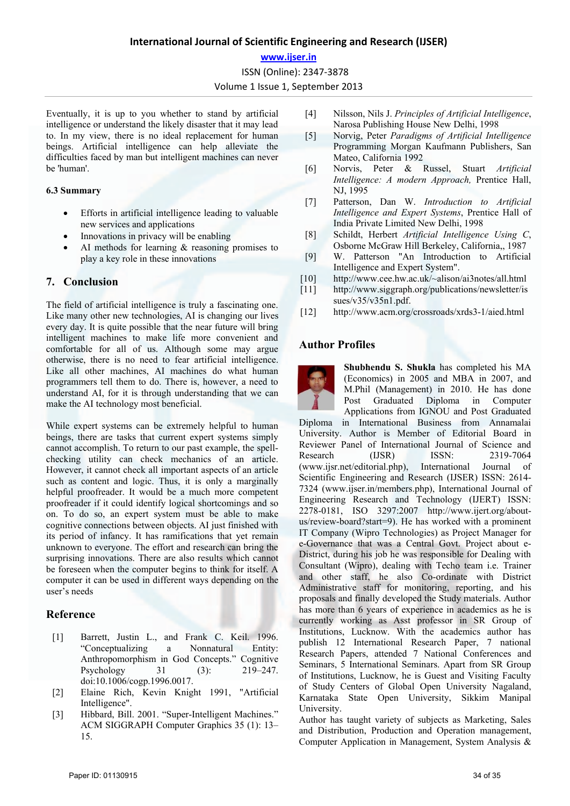**www.ijser.in**

ISSN (Online): 2347-3878

Volume 1 Issue 1, September 2013

Eventually, it is up to you whether to stand by artificial intelligence or understand the likely disaster that it may lead to. In my view, there is no ideal replacement for human beings. Artificial intelligence can help alleviate the difficulties faced by man but intelligent machines can never be 'human'.

#### **6.3 Summary**

- Efforts in artificial intelligence leading to valuable new services and applications
- Innovations in privacy will be enabling
- AI methods for learning & reasoning promises to play a key role in these innovations

## **7. Conclusion**

The field of artificial intelligence is truly a fascinating one. Like many other new technologies, AI is changing our lives every day. It is quite possible that the near future will bring intelligent machines to make life more convenient and comfortable for all of us. Although some may argue otherwise, there is no need to fear artificial intelligence. Like all other machines, AI machines do what human programmers tell them to do. There is, however, a need to understand AI, for it is through understanding that we can make the AI technology most beneficial.

While expert systems can be extremely helpful to human beings, there are tasks that current expert systems simply cannot accomplish. To return to our past example, the spellchecking utility can check mechanics of an article. However, it cannot check all important aspects of an article such as content and logic. Thus, it is only a marginally helpful proofreader. It would be a much more competent proofreader if it could identify logical shortcomings and so on. To do so, an expert system must be able to make cognitive connections between objects. AI just finished with its period of infancy. It has ramifications that yet remain unknown to everyone. The effort and research can bring the surprising innovations. There are also results which cannot be foreseen when the computer begins to think for itself. A computer it can be used in different ways depending on the user's needs

# **Reference**

- [1] Barrett, Justin L., and Frank C. Keil. 1996. "Conceptualizing a Nonnatural Entity: Anthropomorphism in God Concepts." Cognitive<br>Psychology 31 (3): 219–247. Psychology  $31$  (3): doi:10.1006/cogp.1996.0017.
- [2] Elaine Rich, Kevin Knight 1991, "Artificial Intelligence".
- [3] Hibbard, Bill. 2001. "Super-Intelligent Machines." ACM SIGGRAPH Computer Graphics 35 (1): 13– 15.
- [4] Nilsson, Nils J. *Principles of Artificial Intelligence*, Narosa Publishing House New Delhi, 1998
- [5] Norvig, Peter *Paradigms of Artificial Intelligence*  Programming Morgan Kaufmann Publishers, San Mateo, California 1992
- [6] Norvis, Peter & Russel, Stuart *Artificial Intelligence: A modern Approach,* Prentice Hall, NJ, 1995
- [7] Patterson, Dan W. *Introduction to Artificial Intelligence and Expert Systems*, Prentice Hall of India Private Limited New Delhi, 1998
- [8] Schildt, Herbert *Artificial Intelligence Using C*, Osborne McGraw Hill Berkeley, California,, 1987
- [9] W. Patterson "An Introduction to Artificial Intelligence and Expert System".
- [10] http://www.cee.hw.ac.uk/~alison/ai3notes/all.html
- [11] http://www.siggraph.org/publications/newsletter/is sues/v35/v35n1.pdf.
- [12] http://www.acm.org/crossroads/xrds3-1/aied.html

# **Author Profiles**



**Shubhendu S. Shukla** has completed his MA (Economics) in 2005 and MBA in 2007, and M.Phil (Management) in 2010. He has done Post Graduated Diploma in Computer Applications from IGNOU and Post Graduated

Diploma in International Business from Annamalai University. Author is Member of Editorial Board in Reviewer Panel of International Journal of Science and<br>Research (IJSR) ISSN: 2319-7064 Research (IJSR) ISSN: 2319-7064<br>(www.iisr.net/editorial.php). International Journal of  $(www.ijsr.net/editorial.php)$ , International Scientific Engineering and Research (IJSER) ISSN: 2614- 7324 (www.ijser.in/members.php), International Journal of Engineering Research and Technology (IJERT) ISSN: 2278-0181, ISO 3297:2007 http://www.ijert.org/aboutus/review-board?start=9). He has worked with a prominent IT Company (Wipro Technologies) as Project Manager for e-Governance that was a Central Govt. Project about e-District, during his job he was responsible for Dealing with Consultant (Wipro), dealing with Techo team i.e. Trainer and other staff, he also Co-ordinate with District Administrative staff for monitoring, reporting, and his proposals and finally developed the Study materials. Author has more than 6 years of experience in academics as he is currently working as Asst professor in SR Group of Institutions, Lucknow. With the academics author has publish 12 International Research Paper, 7 national Research Papers, attended 7 National Conferences and Seminars, 5 International Seminars. Apart from SR Group of Institutions, Lucknow, he is Guest and Visiting Faculty of Study Centers of Global Open University Nagaland, Karnataka State Open University, Sikkim Manipal University.

Author has taught variety of subjects as Marketing, Sales and Distribution, Production and Operation management, Computer Application in Management, System Analysis &